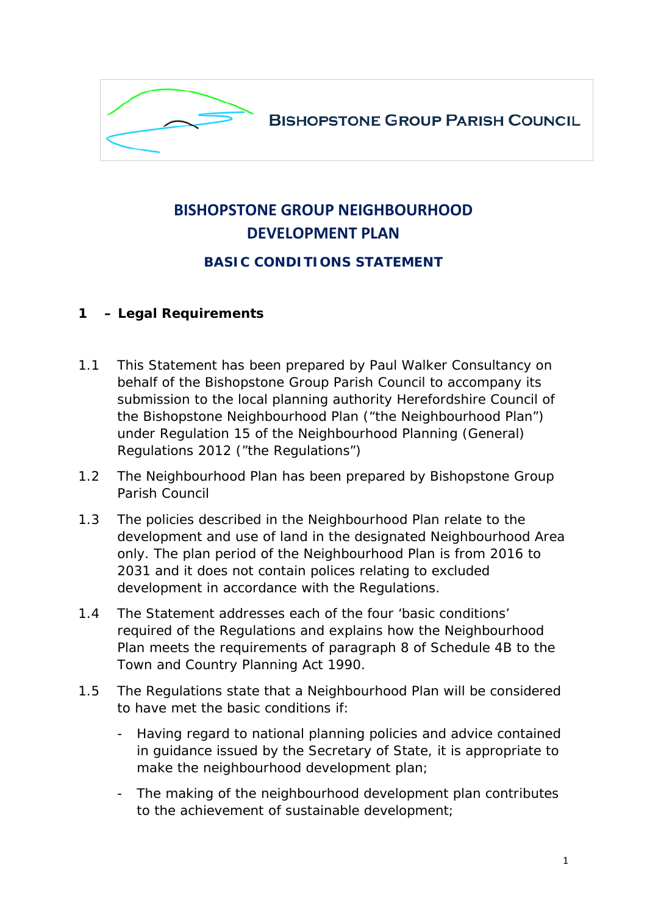

# **BISHOPSTONE GROUP NEIGHBOURHOOD DEVELOPMENT PLAN**

## **BASIC CONDITIONS STATEMENT**

#### **1 – Legal Requirements**

- 1.1 This Statement has been prepared by Paul Walker Consultancy on behalf of the Bishopstone Group Parish Council to accompany its submission to the local planning authority Herefordshire Council of the Bishopstone Neighbourhood Plan ("the Neighbourhood Plan") under Regulation 15 of the Neighbourhood Planning (General) Regulations 2012 ("the Regulations")
- 1.2 The Neighbourhood Plan has been prepared by Bishopstone Group Parish Council
- 1.3 The policies described in the Neighbourhood Plan relate to the development and use of land in the designated Neighbourhood Area only. The plan period of the Neighbourhood Plan is from 2016 to 2031 and it does not contain polices relating to excluded development in accordance with the Regulations.
- 1.4 The Statement addresses each of the four 'basic conditions' required of the Regulations and explains how the Neighbourhood Plan meets the requirements of paragraph 8 of Schedule 4B to the Town and Country Planning Act 1990.
- 1.5 The Regulations state that a Neighbourhood Plan will be considered to have met the basic conditions if:
	- Having regard to national planning policies and advice contained in guidance issued by the Secretary of State, it is appropriate to make the neighbourhood development plan;
	- The making of the neighbourhood development plan contributes to the achievement of sustainable development;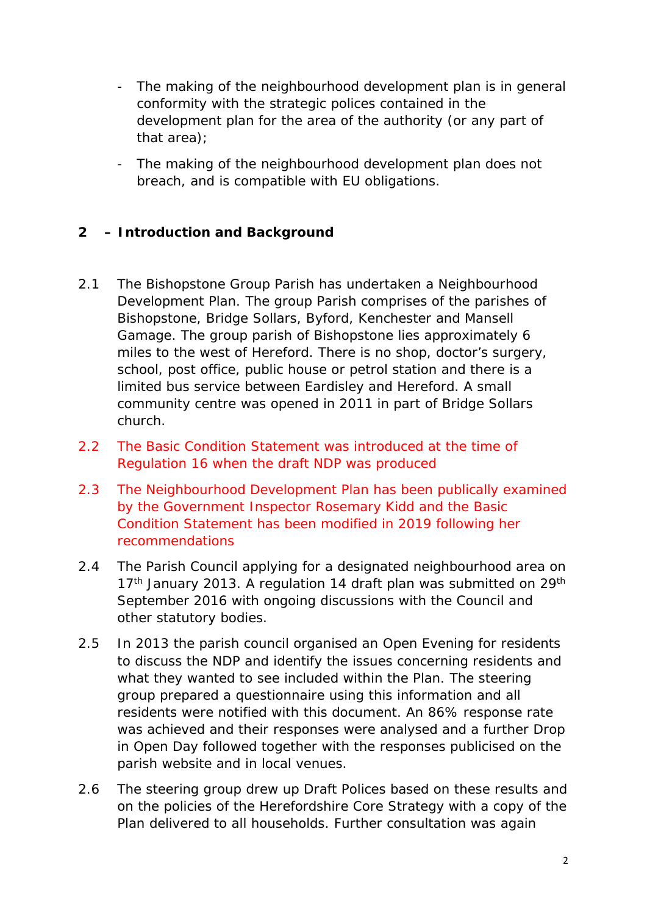- development plan for the area of the authority (or any part of - The making of the neighbourhood development plan is in general conformity with the strategic polices contained in the that area);
- The making of the neighbourhood development plan does not breach, and is compatible with EU obligations.

## **2 – Introduction and Background**

- 2.1 The Bishopstone Group Parish has undertaken a Neighbourhood Development Plan. The group Parish comprises of the parishes of Bishopstone, Bridge Sollars, Byford, Kenchester and Mansell Gamage. The group parish of Bishopstone lies approximately 6 miles to the west of Hereford. There is no shop, doctor's surgery, school, post office, public house or petrol station and there is a limited bus service between Eardisley and Hereford. A small community centre was opened in 2011 in part of Bridge Sollars church.
- 2.2 The Basic Condition Statement was introduced at the time of Regulation 16 when the draft NDP was produced
- 2.3 The Neighbourhood Development Plan has been publically examined by the Government Inspector Rosemary Kidd and the Basic Condition Statement has been modified in 2019 following her recommendations
- 2.4 The Parish Council applying for a designated neighbourhood area on 17<sup>th</sup> January 2013. A regulation 14 draft plan was submitted on 29<sup>th</sup> September 2016 with ongoing discussions with the Council and other statutory bodies.
- 2.5 In 2013 the parish council organised an Open Evening for residents to discuss the NDP and identify the issues concerning residents and what they wanted to see included within the Plan. The steering group prepared a questionnaire using this information and all residents were notified with this document. An 86% response rate was achieved and their responses were analysed and a further Drop in Open Day followed together with the responses publicised on the parish website and in local venues.
- 2.6 The steering group drew up Draft Polices based on these results and on the policies of the Herefordshire Core Strategy with a copy of the Plan delivered to all households. Further consultation was again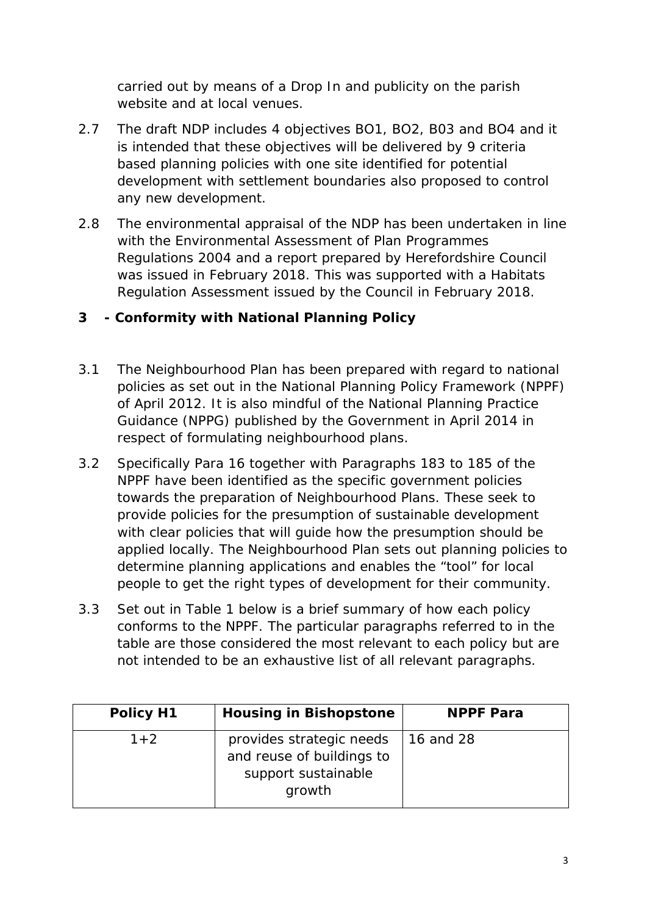carried out by means of a Drop In and publicity on the parish website and at local venues.

- 2.7 The draft NDP includes 4 objectives BO1, BO2, B03 and BO4 and it is intended that these objectives will be delivered by 9 criteria based planning policies with one site identified for potential development with settlement boundaries also proposed to control any new development.
- 2.8 The environmental appraisal of the NDP has been undertaken in line with the Environmental Assessment of Plan Programmes Regulations 2004 and a report prepared by Herefordshire Council was issued in February 2018. This was supported with a Habitats Regulation Assessment issued by the Council in February 2018.

## **3 - Conformity with National Planning Policy**

- 3.1 The Neighbourhood Plan has been prepared with regard to national policies as set out in the National Planning Policy Framework (NPPF) of April 2012. It is also mindful of the National Planning Practice Guidance (NPPG) published by the Government in April 2014 in respect of formulating neighbourhood plans.
- 3.2 Specifically Para 16 together with Paragraphs 183 to 185 of the NPPF have been identified as the specific government policies towards the preparation of Neighbourhood Plans. These seek to provide policies for the presumption of sustainable development with clear policies that will guide how the presumption should be applied locally. The Neighbourhood Plan sets out planning policies to determine planning applications and enables the "tool" for local people to get the right types of development for their community.
- table are those considered the most relevant to each policy but are 3.3 Set out in Table 1 below is a brief summary of how each policy conforms to the NPPF. The particular paragraphs referred to in the not intended to be an exhaustive list of all relevant paragraphs.

| Policy H1 | <b>Housing in Bishopstone</b>                                                          | <b>NPPF Para</b>  |
|-----------|----------------------------------------------------------------------------------------|-------------------|
| $1 + 2$   | provides strategic needs<br>and reuse of buildings to<br>support sustainable<br>growth | $\vert$ 16 and 28 |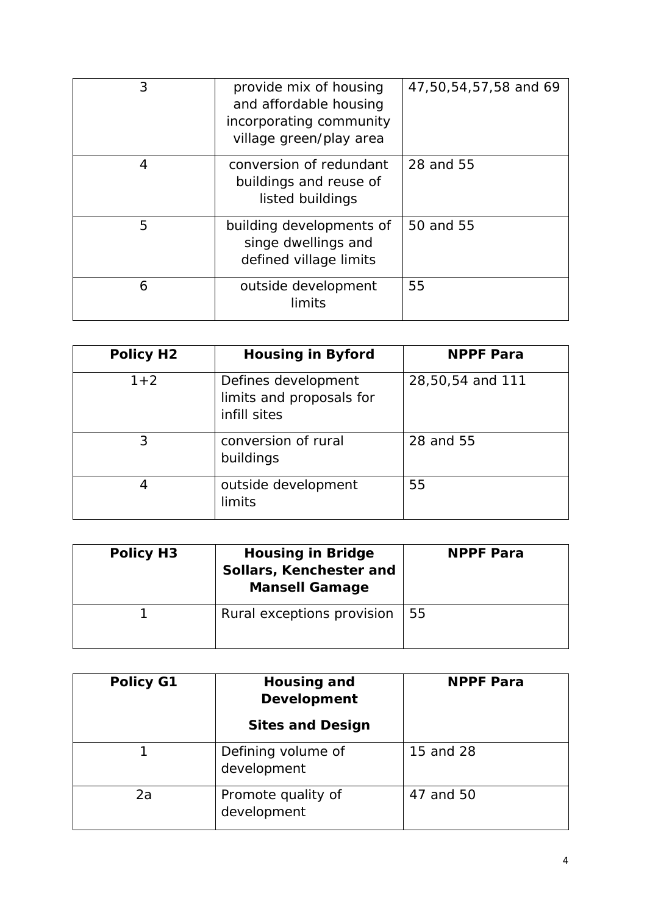| 3 | provide mix of housing<br>and affordable housing<br>incorporating community<br>village green/play area | 47,50,54,57,58 and 69 |
|---|--------------------------------------------------------------------------------------------------------|-----------------------|
| 4 | conversion of redundant<br>buildings and reuse of<br>listed buildings                                  | 28 and 55             |
| 5 | building developments of<br>singe dwellings and<br>defined village limits                              | 50 and 55             |
| 6 | outside development<br>limits                                                                          | 55                    |

| <b>Policy H2</b> | <b>Housing in Byford</b>                                        | <b>NPPF Para</b> |
|------------------|-----------------------------------------------------------------|------------------|
| $1 + 2$          | Defines development<br>limits and proposals for<br>infill sites | 28,50,54 and 111 |
| 3                | conversion of rural<br>buildings                                | 28 and 55        |
| 4                | outside development<br>limits                                   | 55               |

| <b>Policy H3</b> | <b>Housing in Bridge</b><br>Sollars, Kenchester and<br><b>Mansell Gamage</b> | <b>NPPF Para</b> |
|------------------|------------------------------------------------------------------------------|------------------|
|                  | Rural exceptions provision                                                   | 55               |

| <b>Policy G1</b> | Housing and<br><b>Development</b><br><b>Sites and Design</b> | <b>NPPF Para</b> |
|------------------|--------------------------------------------------------------|------------------|
|                  | Defining volume of<br>development                            | 15 and 28        |
| 2a               | Promote quality of<br>development                            | 47 and 50        |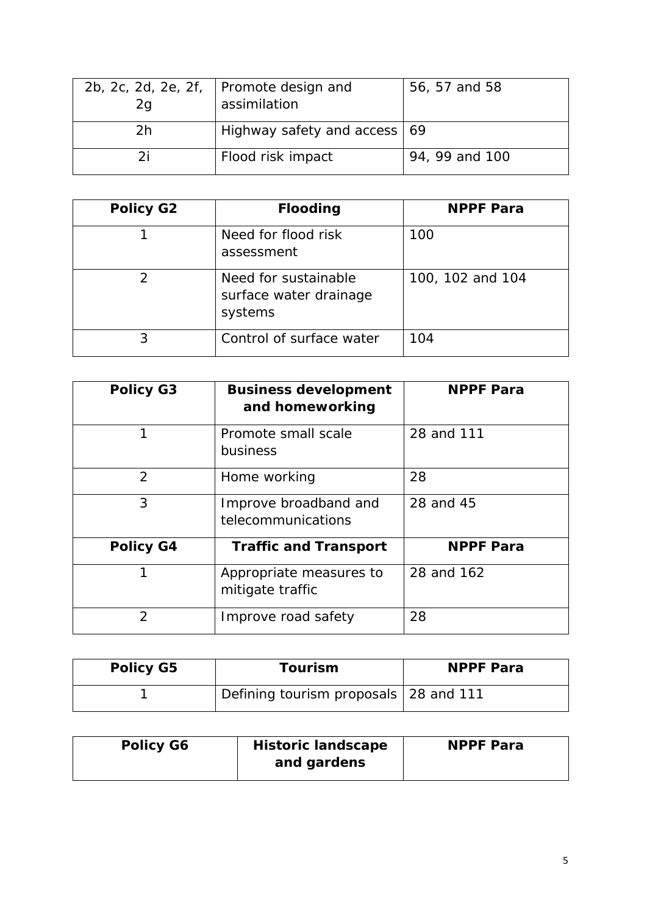| 2b, 2c, 2d, 2e, 2f,<br>2g | Promote design and<br>assimilation     | 56, 57 and 58  |
|---------------------------|----------------------------------------|----------------|
| 2 <sub>h</sub>            | Highway safety and access $ 69\rangle$ |                |
| 2i                        | Flood risk impact                      | 94, 99 and 100 |

| <b>Policy G2</b> | <b>Flooding</b>                                           | <b>NPPF Para</b> |
|------------------|-----------------------------------------------------------|------------------|
|                  | Need for flood risk<br>assessment                         | 100              |
| $\mathcal{P}$    | Need for sustainable<br>surface water drainage<br>systems | 100, 102 and 104 |
| 3                | Control of surface water                                  | 104              |

| <b>Policy G3</b> | <b>Business development</b><br>and homeworking | <b>NPPF Para</b> |
|------------------|------------------------------------------------|------------------|
| 1                | Promote small scale<br>business                | 28 and 111       |
| $\mathcal{P}$    | Home working                                   | 28               |
| 3                | Improve broadband and<br>telecommunications    | 28 and 45        |
| <b>Policy G4</b> | <b>Traffic and Transport</b>                   | <b>NPPF Para</b> |
| 1                | Appropriate measures to<br>mitigate traffic    | 28 and 162       |
| $\overline{2}$   | Improve road safety                            | 28               |

| <b>Policy G5</b> | <b>Tourism</b>                          | <b>NPPF Para</b> |
|------------------|-----------------------------------------|------------------|
|                  | Defining tourism proposals   28 and 111 |                  |

| <b>Policy G6</b> | <b>Historic landscape</b><br>and gardens | <b>NPPF Para</b> |
|------------------|------------------------------------------|------------------|
|                  |                                          |                  |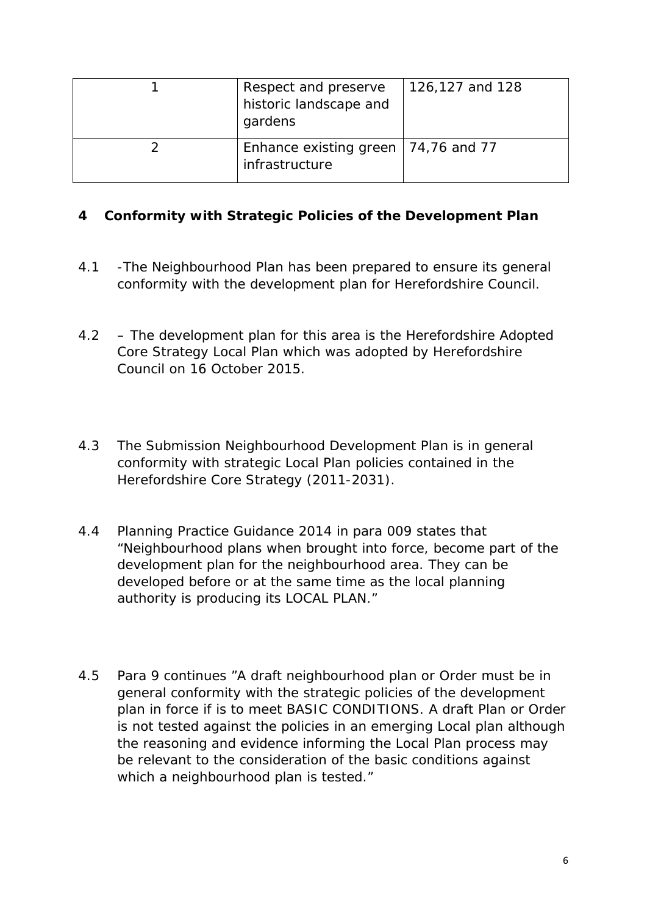| Respect and preserve<br>historic landscape and<br>gardens | 126,127 and 128 |
|-----------------------------------------------------------|-----------------|
| Enhance existing green   74,76 and 77<br>infrastructure   |                 |

#### **4 Conformity with Strategic Policies of the Development Plan**

- 4.1 -The Neighbourhood Plan has been prepared to ensure its general conformity with the development plan for Herefordshire Council.
- 4.2 The development plan for this area is the Herefordshire Adopted Core Strategy Local Plan which was adopted by Herefordshire Council on 16 October 2015.
- 4.3 The Submission Neighbourhood Development Plan is in general conformity with strategic Local Plan policies contained in the Herefordshire Core Strategy (2011-2031).
- 4.4 Planning Practice Guidance 2014 in para 009 states that "Neighbourhood plans when brought into force, become part of the development plan for the neighbourhood area. They can be developed before or at the same time as the local planning authority is producing its LOCAL PLAN."
- general conformity with the strategic policies of the development plan in force if is to meet BASIC CONDITIONS. A draft Plan or Order is not tested against the policies in an emerging Local plan although be relevant to the consideration of the basic conditions against 4.5 Para 9 continues "A draft neighbourhood plan or Order must be in the reasoning and evidence informing the Local Plan process may which a neighbourhood plan is tested."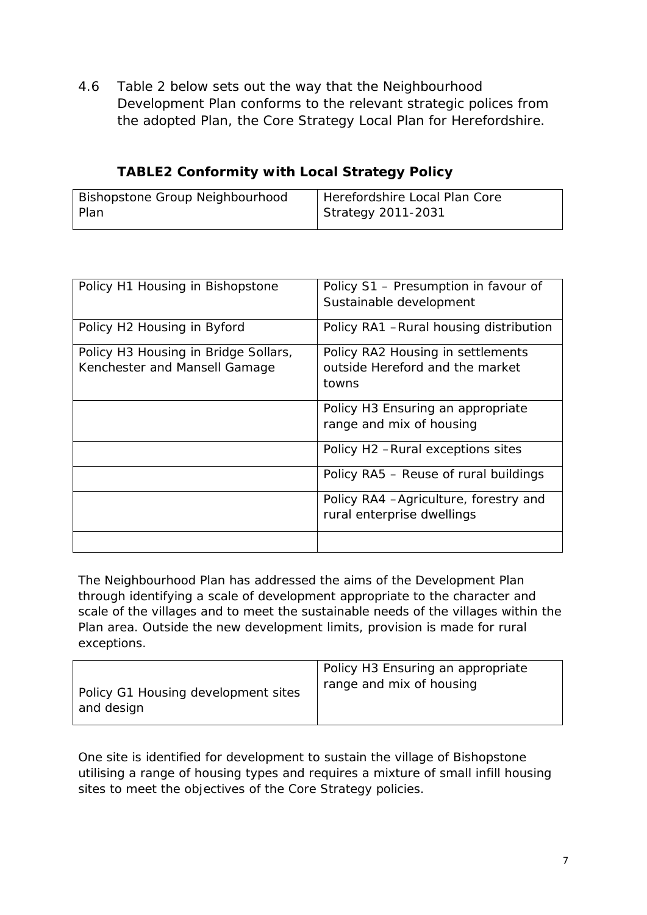4.6 Table 2 below sets out the way that the Neighbourhood Development Plan conforms to the relevant strategic polices from the adopted Plan, the Core Strategy Local Plan for Herefordshire.

| Bishopstone Group Neighbourhood | Herefordshire Local Plan Core |
|---------------------------------|-------------------------------|
| Plan                            | Strategy 2011-2031            |

**TABLE2 Conformity with Local Strategy Policy** 

| Policy H1 Housing in Bishopstone                                      | Policy S1 - Presumption in favour of<br>Sustainable development               |
|-----------------------------------------------------------------------|-------------------------------------------------------------------------------|
| Policy H2 Housing in Byford                                           | Policy RA1 - Rural housing distribution                                       |
| Policy H3 Housing in Bridge Sollars,<br>Kenchester and Mansell Gamage | Policy RA2 Housing in settlements<br>outside Hereford and the market<br>towns |
|                                                                       | Policy H3 Ensuring an appropriate<br>range and mix of housing                 |
|                                                                       | Policy H2 - Rural exceptions sites                                            |
|                                                                       | Policy RA5 – Reuse of rural buildings                                         |
|                                                                       | Policy RA4 - Agriculture, forestry and<br>rural enterprise dwellings          |
|                                                                       |                                                                               |

The Neighbourhood Plan has addressed the aims of the Development Plan through identifying a scale of development appropriate to the character and scale of the villages and to meet the sustainable needs of the villages within the Plan area. Outside the new development limits, provision is made for rural exceptions.

| Policy G1 Housing development sites | Policy H3 Ensuring an appropriate |
|-------------------------------------|-----------------------------------|
| and design                          | range and mix of housing          |

One site is identified for development to sustain the village of Bishopstone utilising a range of housing types and requires a mixture of small infill housing sites to meet the objectives of the Core Strategy policies.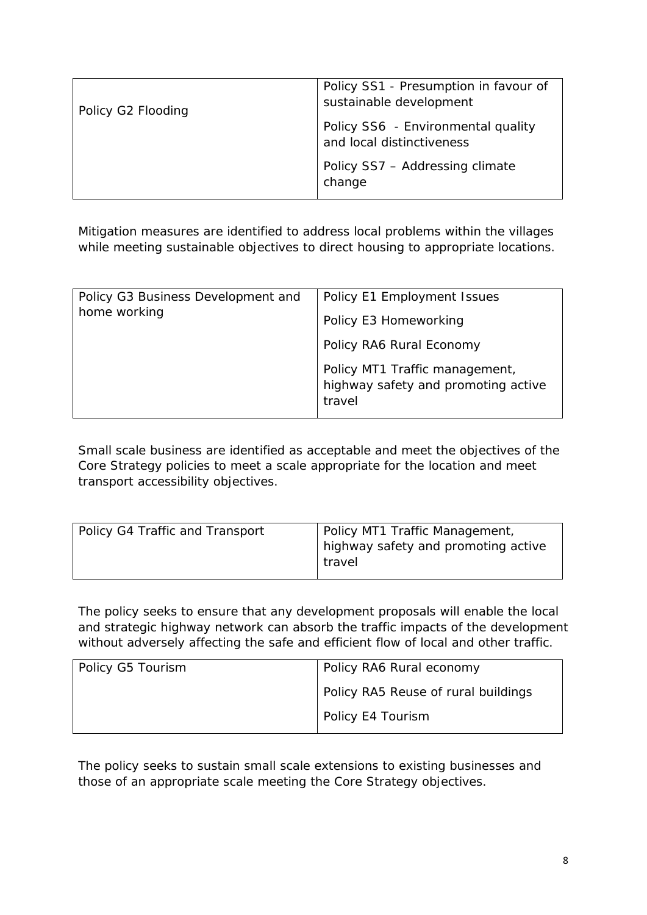| Policy G2 Flooding | Policy SS1 - Presumption in favour of<br>sustainable development |
|--------------------|------------------------------------------------------------------|
|                    | Policy SS6 - Environmental quality<br>and local distinctiveness  |
|                    | Policy SS7 - Addressing climate<br>change                        |

Mitigation measures are identified to address local problems within the villages while meeting sustainable objectives to direct housing to appropriate locations.

| Policy G3 Business Development and<br>home working | Policy E1 Employment Issues                                                     |
|----------------------------------------------------|---------------------------------------------------------------------------------|
|                                                    | Policy E3 Homeworking                                                           |
|                                                    | Policy RA6 Rural Economy                                                        |
|                                                    | Policy MT1 Traffic management,<br>highway safety and promoting active<br>travel |

Small scale business are identified as acceptable and meet the objectives of the Core Strategy policies to meet a scale appropriate for the location and meet transport accessibility objectives.

| Policy G4 Traffic and Transport | Policy MT1 Traffic Management,<br>highway safety and promoting active |
|---------------------------------|-----------------------------------------------------------------------|
|                                 | travel                                                                |

 The policy seeks to ensure that any development proposals will enable the local and strategic highway network can absorb the traffic impacts of the development without adversely affecting the safe and efficient flow of local and other traffic.

| Policy G5 Tourism | Policy RA6 Rural economy            |
|-------------------|-------------------------------------|
|                   | Policy RA5 Reuse of rural buildings |
|                   | Policy E4 Tourism                   |

The policy seeks to sustain small scale extensions to existing businesses and those of an appropriate scale meeting the Core Strategy objectives.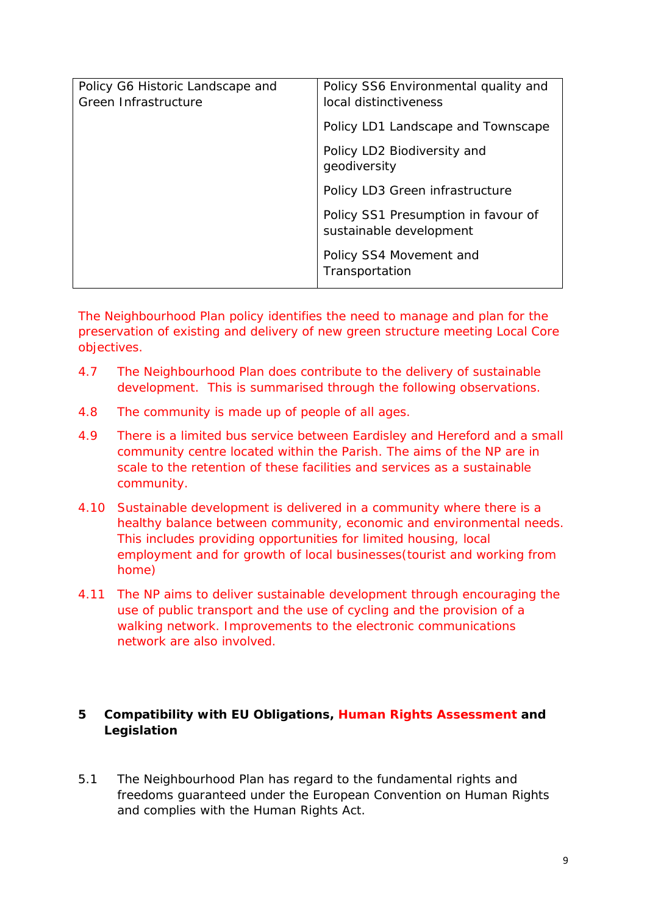| Policy G6 Historic Landscape and<br>Green Infrastructure | Policy SS6 Environmental quality and<br>local distinctiveness  |
|----------------------------------------------------------|----------------------------------------------------------------|
|                                                          | Policy LD1 Landscape and Townscape                             |
|                                                          | Policy LD2 Biodiversity and<br>geodiversity                    |
|                                                          | Policy LD3 Green infrastructure                                |
|                                                          | Policy SS1 Presumption in favour of<br>sustainable development |
|                                                          | Policy SS4 Movement and<br>Transportation                      |
|                                                          |                                                                |

The Neighbourhood Plan policy identifies the need to manage and plan for the preservation of existing and delivery of new green structure meeting Local Core objectives.

- The Neighbourhood Plan does contribute to the delivery of sustainable 4.7 The Neighbourhood Plan does contribute to the delivery of sustainable development. This is summarised through the following observations.
- 4.8 The community is made up of people of all ages.
- 4.9 There is a limited bus service between Eardisley and Hereford and a small community centre located within the Parish. The aims of the NP are in scale to the retention of these facilities and services as a sustainable community.
- This includes providing opportunities for limited housing, local 4.10 Sustainable development is delivered in a community where there is a healthy balance between community, economic and environmental needs. employment and for growth of local businesses(tourist and working from home)
- 4.11 The NP aims to deliver sustainable development through encouraging the use of public transport and the use of cycling and the provision of a walking network. Improvements to the electronic communications network are also involved.

#### **Compatibility with EU Obligations, Human Rights Assessment and Legislation 5**

5.1 The Neighbourhood Plan has regard to the fundamental rights and freedoms guaranteed under the European Convention on Human Rights and complies with the Human Rights Act.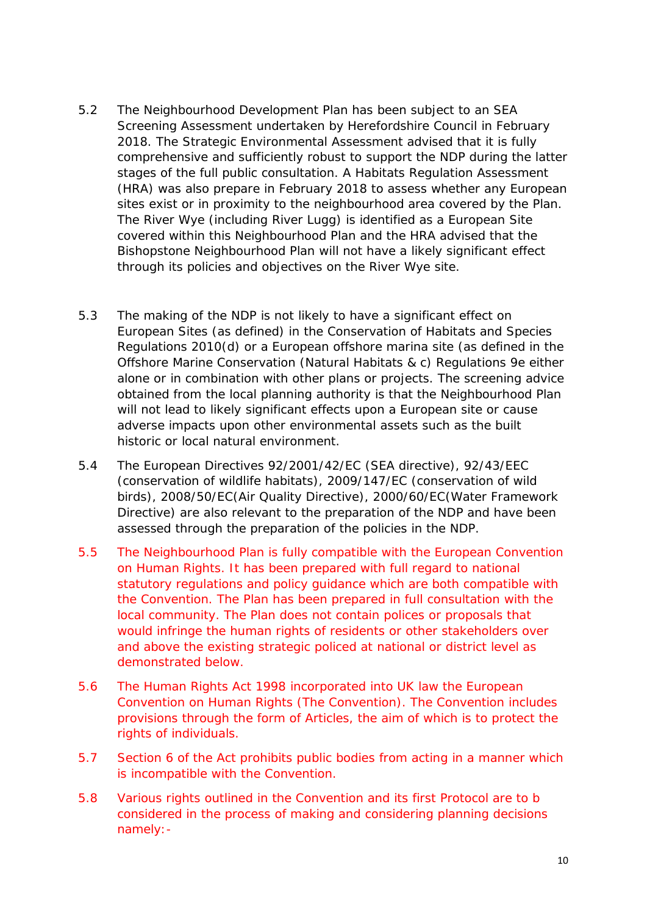- 5.2 The Neighbourhood Development Plan has been subject to an SEA The River Wye (including River Lugg) is identified as a European Site Screening Assessment undertaken by Herefordshire Council in February 2018. The Strategic Environmental Assessment advised that it is fully comprehensive and sufficiently robust to support the NDP during the latter stages of the full public consultation. A Habitats Regulation Assessment (HRA) was also prepare in February 2018 to assess whether any European sites exist or in proximity to the neighbourhood area covered by the Plan. covered within this Neighbourhood Plan and the HRA advised that the Bishopstone Neighbourhood Plan will not have a likely significant effect through its policies and objectives on the River Wye site.
- 5.3 The making of the NDP is not likely to have a significant effect on obtained from the local planning authority is that the Neighbourhood Plan will not lead to likely significant effects upon a European site or cause European Sites (as defined) in the Conservation of Habitats and Species Regulations 2010(d) or a European offshore marina site (as defined in the Offshore Marine Conservation (Natural Habitats & c) Regulations 9e either alone or in combination with other plans or projects. The screening advice adverse impacts upon other environmental assets such as the built historic or local natural environment.
- 5.4 The European Directives 92/2001/42/EC (SEA directive), 92/43/EEC (conservation of wildlife habitats), 2009/147/EC (conservation of wild birds), 2008/50/EC(Air Quality Directive), 2000/60/EC(Water Framework Directive) are also relevant to the preparation of the NDP and have been assessed through the preparation of the policies in the NDP.
- and above the existing strategic policed at national or district level as 5.5 The Neighbourhood Plan is fully compatible with the European Convention on Human Rights. It has been prepared with full regard to national statutory regulations and policy guidance which are both compatible with the Convention. The Plan has been prepared in full consultation with the local community. The Plan does not contain polices or proposals that would infringe the human rights of residents or other stakeholders over demonstrated below.
- 5.6 The Human Rights Act 1998 incorporated into UK law the European Convention on Human Rights (The Convention). The Convention includes provisions through the form of Articles, the aim of which is to protect the rights of individuals.
- 5.7 Section 6 of the Act prohibits public bodies from acting in a manner which is incompatible with the Convention.
- 5.8 Various rights outlined in the Convention and its first Protocol are to b considered in the process of making and considering planning decisions namely:-